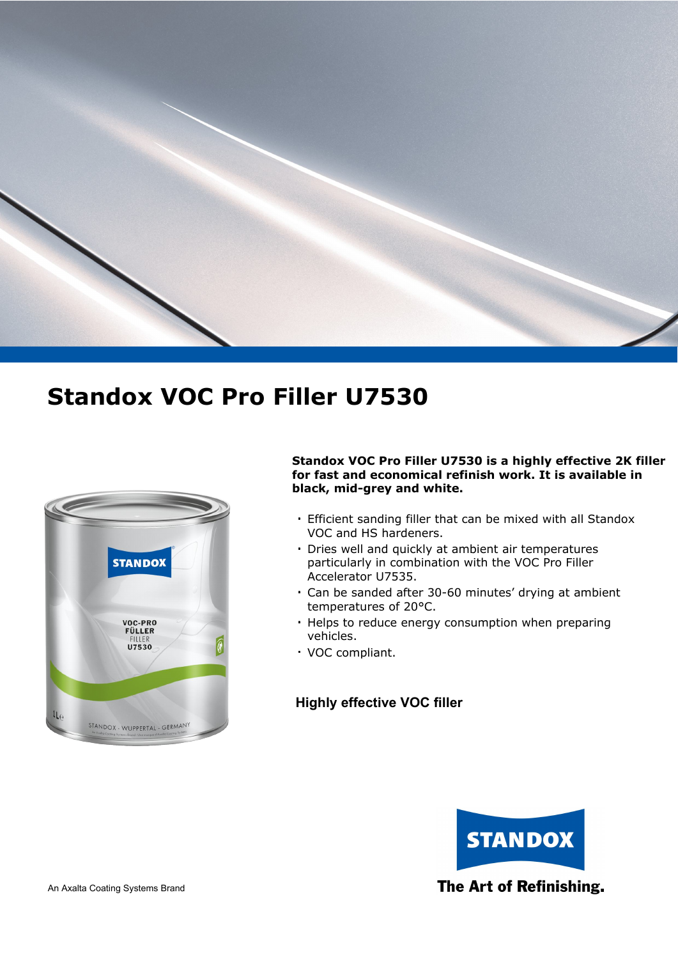



#### **Standox VOC Pro Filler U7530 is a highly effective 2K filler for fast and economical refinish work. It is available in black, mid-grey and white.**

- Efficient sanding filler that can be mixed with all Standox **.** VOC and HS hardeners.
- Dries well and quickly at ambient air temperatures **.** particularly in combination with the VOC Pro Filler Accelerator U7535.
- Can be sanded after 30-60 minutes' drying at ambient **.** temperatures of 20°C.
- Helps to reduce energy consumption when preparing **.** vehicles.
- VOC compliant. **.**

### **Highly effective VOC filler**

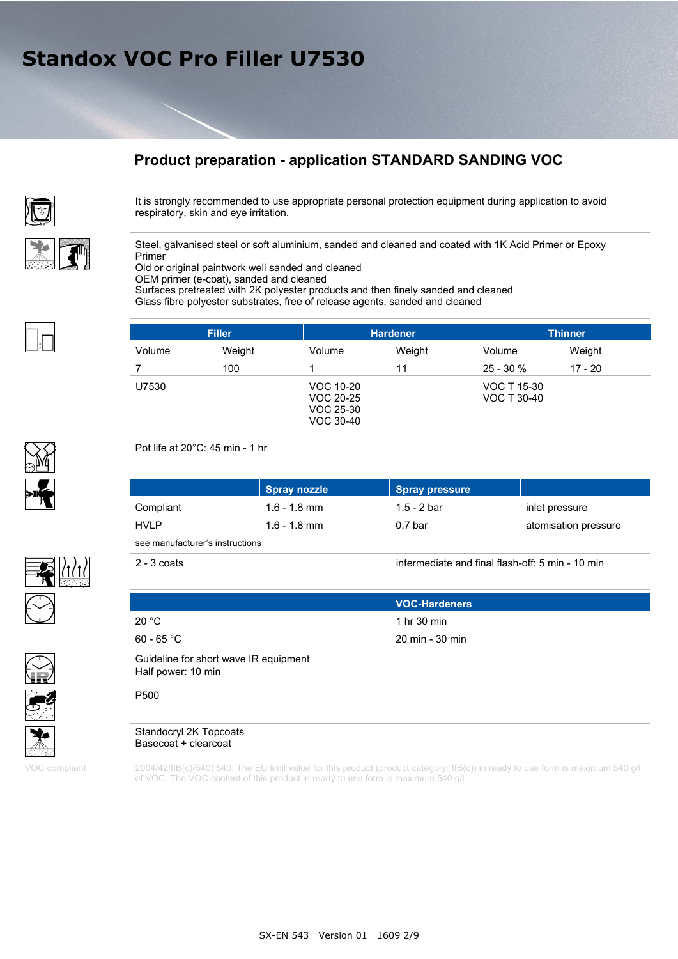### **Product preparation - application STANDARD SANDING VOC**



It is strongly recommended to use appropriate personal protection equipment during application to avoid respiratory, skin and eye irritation.

Steel, galvanised steel or soft aluminium, sanded and cleaned and coated with 1K Acid Primer or Epoxy Primer

Old or original paintwork well sanded and cleaned

OEM primer (e-coat), sanded and cleaned

Surfaces pretreated with 2K polyester products and then finely sanded and cleaned Glass fibre polyester substrates, free of release agents, sanded and cleaned

|        | <b>Filler</b> |                                                  | <b>Hardener</b> |                            | <b>Thinner</b> |
|--------|---------------|--------------------------------------------------|-----------------|----------------------------|----------------|
| Volume | Weight        | Volume                                           | Weight          | Volume                     | Weight         |
|        | 100           |                                                  | 11              | $25 - 30%$                 | $17 - 20$      |
| U7530  |               | VOC 10-20<br>VOC 20-25<br>VOC 25-30<br>VOC 30-40 |                 | VOC T 15-30<br>VOC T 30-40 |                |







VOC compliant

2004/42/IIB(c)(540) 540: The EU limit value for this product (product category: IIB(c)) in ready to use form is maximum 540 g/l of VOC. The VOC content of this product in ready to use form is maximum 540 g/l.

Pot life at 20°C: 45 min - 1 hr

|             | Spray nozzle   | Spray pressure     |                      |
|-------------|----------------|--------------------|----------------------|
| Compliant   | $1.6 - 1.8$ mm | 1.5 - 2 bar        | inlet pressure       |
| <b>HVLP</b> | $1.6 - 1.8$ mm | 0.7 <sub>bar</sub> | atomisation pressure |

see manufacturer's instructions

2 - 3 coats intermediate and final flash-off: 5 min - 10 min

|                                       | VOC-Hardeners   |  |
|---------------------------------------|-----------------|--|
| 20 °C                                 | 1 hr 30 min     |  |
| $60$ - $65\,^{\circ}\mathrm{C}$       | 20 min - 30 min |  |
| Guideline for short wave IR equipment |                 |  |

Half power: 10 min P500



Basecoat + clearcoat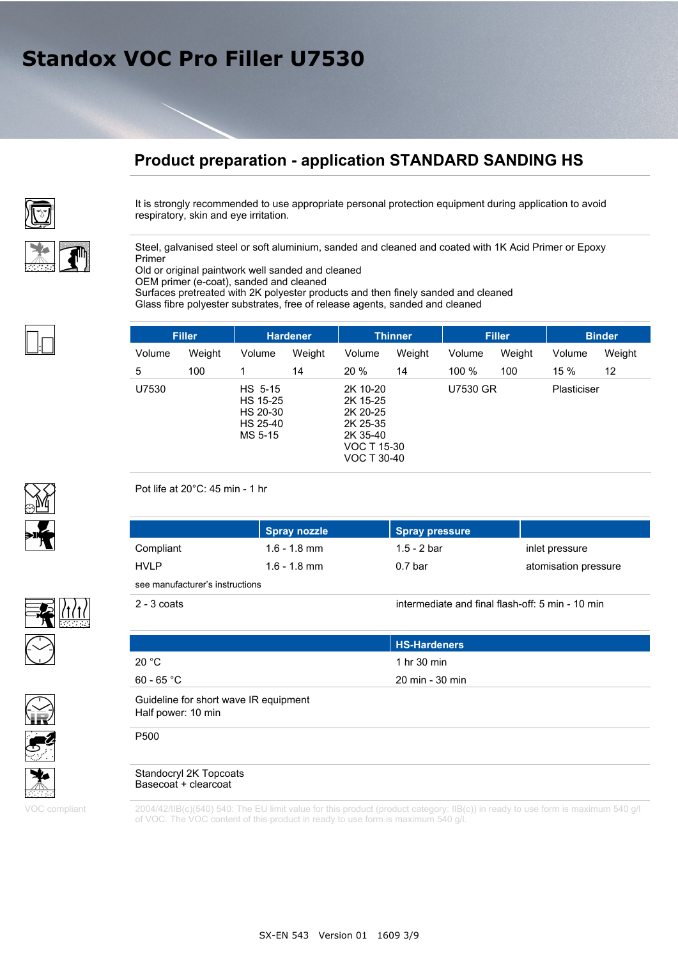## **Product preparation - application STANDARD SANDING HS**



It is strongly recommended to use appropriate personal protection equipment during application to avoid respiratory, skin and eye irritation.

Steel, galvanised steel or soft aluminium, sanded and cleaned and coated with 1K Acid Primer or Epoxy Primer

Old or original paintwork well sanded and cleaned

OEM primer (e-coat), sanded and cleaned

Surfaces pretreated with 2K polyester products and then finely sanded and cleaned Glass fibre polyester substrates, free of release agents, sanded and cleaned

|        | <b>Filler</b> |                                                        | <b>Hardener</b> |                                                                                        | <b>Thinner</b> |                 | <b>Filler</b> |             | <b>Binder</b> |
|--------|---------------|--------------------------------------------------------|-----------------|----------------------------------------------------------------------------------------|----------------|-----------------|---------------|-------------|---------------|
| Volume | Weight        | Volume                                                 | Weight          | Volume                                                                                 | Weight         | Volume          | Weight        | Volume      | Weight        |
| 5      | 100           |                                                        | 14              | 20%                                                                                    | 14             | 100 %           | 100           | 15 %        | 12            |
| U7530  |               | HS 5-15<br>HS 15-25<br>HS 20-30<br>HS 25-40<br>MS 5-15 |                 | 2K 10-20<br>2K 15-25<br>2K 20-25<br>2K 25-35<br>2K 35-40<br>VOC T 15-30<br>VOC T 30-40 |                | <b>U7530 GR</b> |               | Plasticiser |               |

#### Pot life at 20°C: 45 min - 1 hr

|                                 | Spray nozzle   | Spray pressure |                      |
|---------------------------------|----------------|----------------|----------------------|
| Compliant                       | $1.6 - 1.8$ mm | 1.5 - 2 bar    | inlet pressure       |
| <b>HVLP</b>                     | $1.6 - 1.8$ mm | 0.7 bar        | atomisation pressure |
| see manufacturer's instructions |                |                |                      |

2 - 3 coats intermediate and final flash-off: 5 min - 10 min

|                                                             | <b>HS-Hardeners</b>   |  |
|-------------------------------------------------------------|-----------------------|--|
| 20 °C                                                       | 1 hr $30 \text{ min}$ |  |
| $60 - 65 °C$                                                | 20 min - 30 min       |  |
| Guideline for short wave IR equipment<br>Half power: 10 min |                       |  |
| P500                                                        |                       |  |

#### Standocryl 2K Topcoats Basecoat + clearcoat

2004/42/IIB(c)(540) 540: The EU limit value for this product (product category: IIB(c)) in ready to use form is maximum 540 g/l of VOC. The VOC content of this product in ready to use form is maximum 540 g/l.







VOC compliant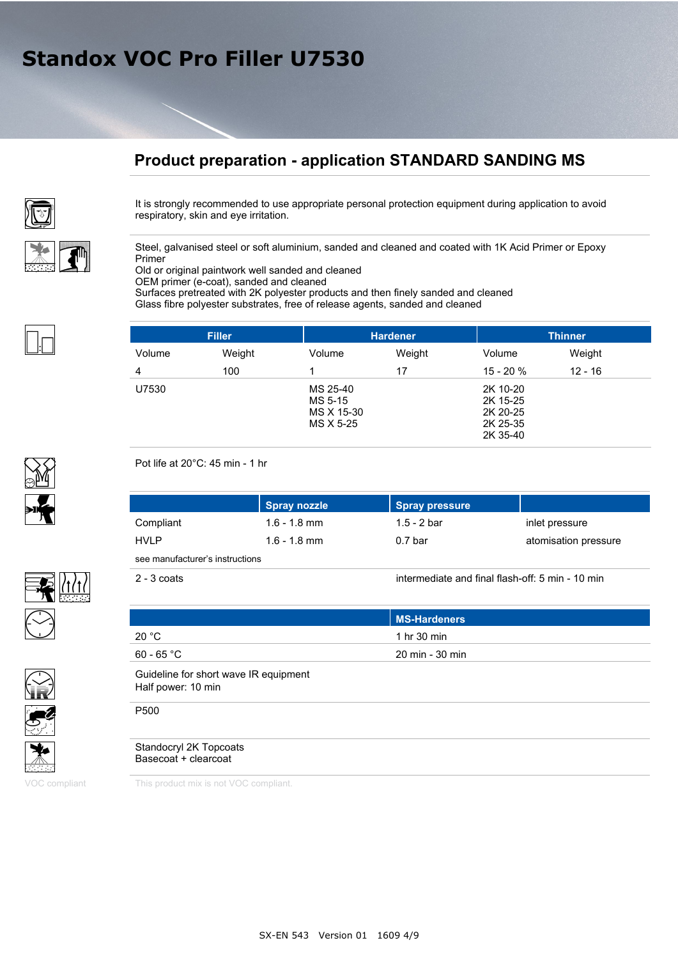## **Product preparation - application STANDARD SANDING MS**



It is strongly recommended to use appropriate personal protection equipment during application to avoid respiratory, skin and eye irritation.

Steel, galvanised steel or soft aluminium, sanded and cleaned and coated with 1K Acid Primer or Epoxy Primer

Old or original paintwork well sanded and cleaned

OEM primer (e-coat), sanded and cleaned

Surfaces pretreated with 2K polyester products and then finely sanded and cleaned Glass fibre polyester substrates, free of release agents, sanded and cleaned

|        | <b>Filler</b> |                                                | <b>Hardener</b> |                                                          | <b>Thinner</b> |
|--------|---------------|------------------------------------------------|-----------------|----------------------------------------------------------|----------------|
| Volume | Weight        | Volume                                         | Weight          | Volume                                                   | Weight         |
| 4      | 100           |                                                | 17              | $15 - 20 \%$                                             | $12 - 16$      |
| U7530  |               | MS 25-40<br>MS 5-15<br>MS X 15-30<br>MS X 5-25 |                 | 2K 10-20<br>2K 15-25<br>2K 20-25<br>2K 25-35<br>2K 35-40 |                |

Pot life at 20°C: 45 min - 1 hr

|                                 | Spray nozzle   | Spray pressure |                      |
|---------------------------------|----------------|----------------|----------------------|
| Compliant                       | $1.6 - 1.8$ mm | 1.5 - 2 bar    | inlet pressure       |
| <b>HVLP</b>                     | $1.6 - 1.8$ mm | $0.7$ bar      | atomisation pressure |
| see manufacturer's instructions |                |                |                      |

2 - 3 coats intermediate and final flash-off: 5 min - 10 min

| <b>MS-Hardeners</b>   |
|-----------------------|
| 1 hr $30 \text{ min}$ |
| 20 min - 30 min       |
|                       |
|                       |
|                       |

#### Standocryl 2K Topcoats Basecoat + clearcoat

VOC compliant This product mix is not VOC compliant.





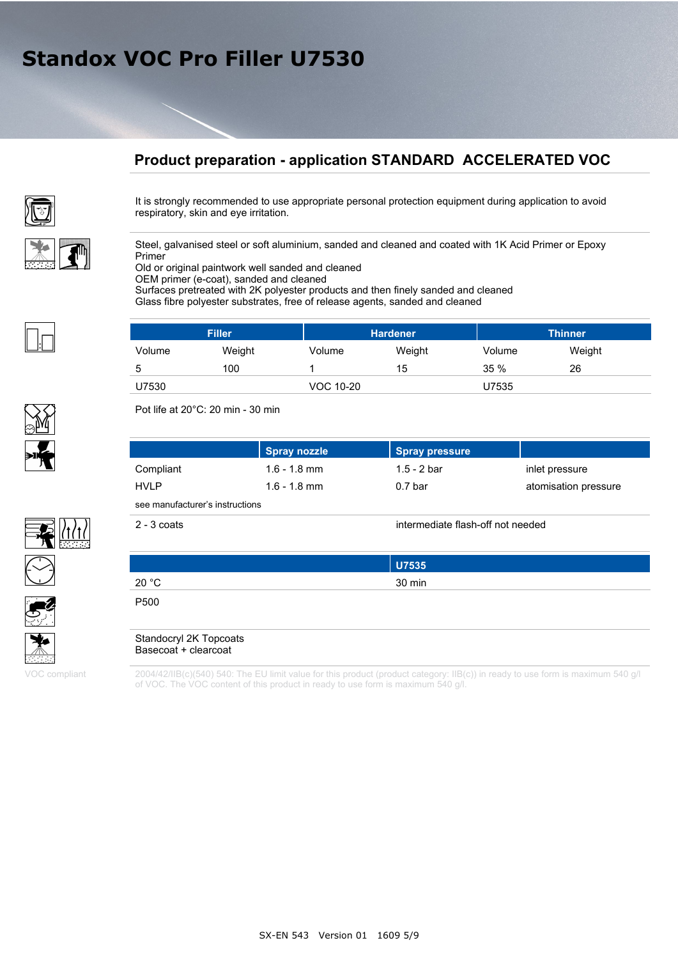## **Product preparation - application STANDARD ACCELERATED VOC**



It is strongly recommended to use appropriate personal protection equipment during application to avoid respiratory, skin and eye irritation.

Steel, galvanised steel or soft aluminium, sanded and cleaned and coated with 1K Acid Primer or Epoxy Primer

Old or original paintwork well sanded and cleaned

OEM primer (e-coat), sanded and cleaned

Surfaces pretreated with 2K polyester products and then finely sanded and cleaned Glass fibre polyester substrates, free of release agents, sanded and cleaned

|        | <b>Filler</b> |           | <b>Hardener</b> |        | <b>Thinner</b> |  |
|--------|---------------|-----------|-----------------|--------|----------------|--|
| Volume | Weight        | Volume    | Weight          | Volume | Weight         |  |
| 5      | 100           |           | 15              | 35%    | 26             |  |
| U7530  |               | VOC 10-20 |                 | U7535  |                |  |

Pot life at 20°C: 20 min - 30 min

|                                 | Spray nozzle   | <b>Spray pressure</b> |                      |  |  |
|---------------------------------|----------------|-----------------------|----------------------|--|--|
| Compliant                       | $1.6 - 1.8$ mm | 1.5 - 2 bar           | inlet pressure       |  |  |
| <b>HVLP</b>                     | $1.6 - 1.8$ mm | 0.7 <sub>bar</sub>    | atomisation pressure |  |  |
| see manufacturer's instructions |                |                       |                      |  |  |

2 - 3 coats intermediate flash-off not needed

|       | <b>U7535</b> |
|-------|--------------|
| 20 °C | 30 min       |
|       |              |

P500

Standocryl 2K Topcoats Basecoat + clearcoat

2004/42/IIB(c)(540) 540: The EU limit value for this product (product category: IIB(c)) in ready to use form is maximum 540 g/l of VOC. The VOC content of this product in ready to use form is maximum 540 g/l.







VOC compliant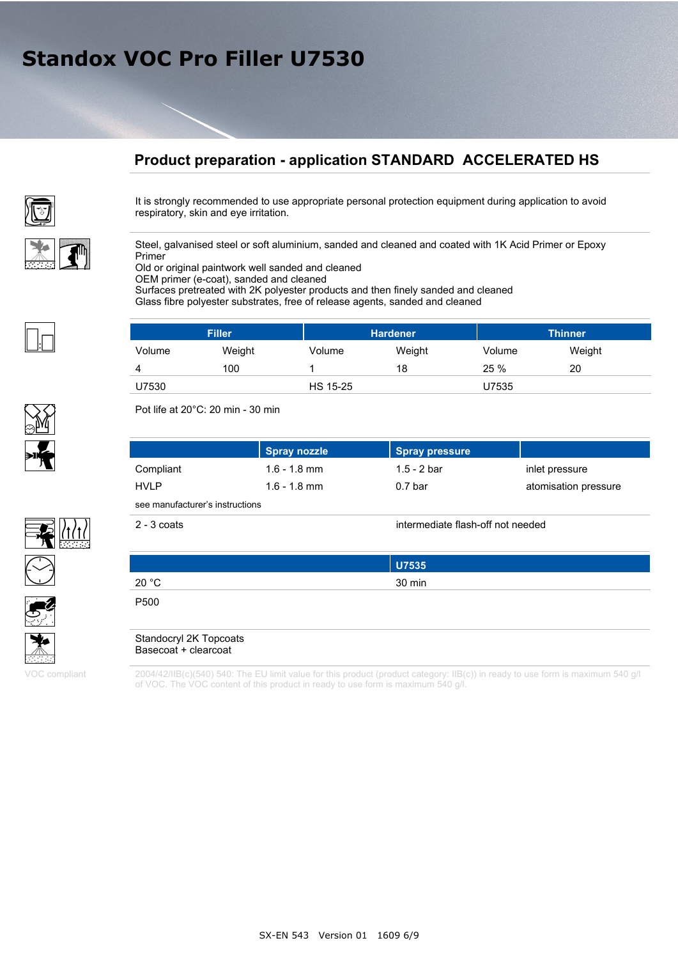## **Product preparation - application STANDARD ACCELERATED HS**



It is strongly recommended to use appropriate personal protection equipment during application to avoid respiratory, skin and eye irritation.

Steel, galvanised steel or soft aluminium, sanded and cleaned and coated with 1K Acid Primer or Epoxy Primer

Old or original paintwork well sanded and cleaned

OEM primer (e-coat), sanded and cleaned

Surfaces pretreated with 2K polyester products and then finely sanded and cleaned Glass fibre polyester substrates, free of release agents, sanded and cleaned

| <b>Filler</b> |        |          | <b>Hardener</b> |        | <b>Thinner</b> |  |
|---------------|--------|----------|-----------------|--------|----------------|--|
| Volume        | Weight | Volume   | Weight          | Volume | Weight         |  |
|               | 100    |          | 18              | 25%    | 20             |  |
| U7530         |        | HS 15-25 |                 | U7535  |                |  |

Pot life at 20°C: 20 min - 30 min

|                                 | Spray nozzle   | Spray pressure     |                      |  |
|---------------------------------|----------------|--------------------|----------------------|--|
| Compliant                       | $1.6 - 1.8$ mm | 1.5 - 2 bar        | inlet pressure       |  |
| <b>HVLP</b>                     | $1.6 - 1.8$ mm | 0.7 <sub>bar</sub> | atomisation pressure |  |
| see manufacturer's instructions |                |                    |                      |  |

2 - 3 coats intermediate flash-off not needed

|       | U7535  |  |
|-------|--------|--|
| 20 °C | 30 min |  |
|       |        |  |

P500

Standocryl 2K Topcoats Basecoat + clearcoat

2004/42/IIB(c)(540) 540: The EU limit value for this product (product category: IIB(c)) in ready to use form is maximum 540 g/l of VOC. The VOC content of this product in ready to use form is maximum 540 g/l.







VOC compliant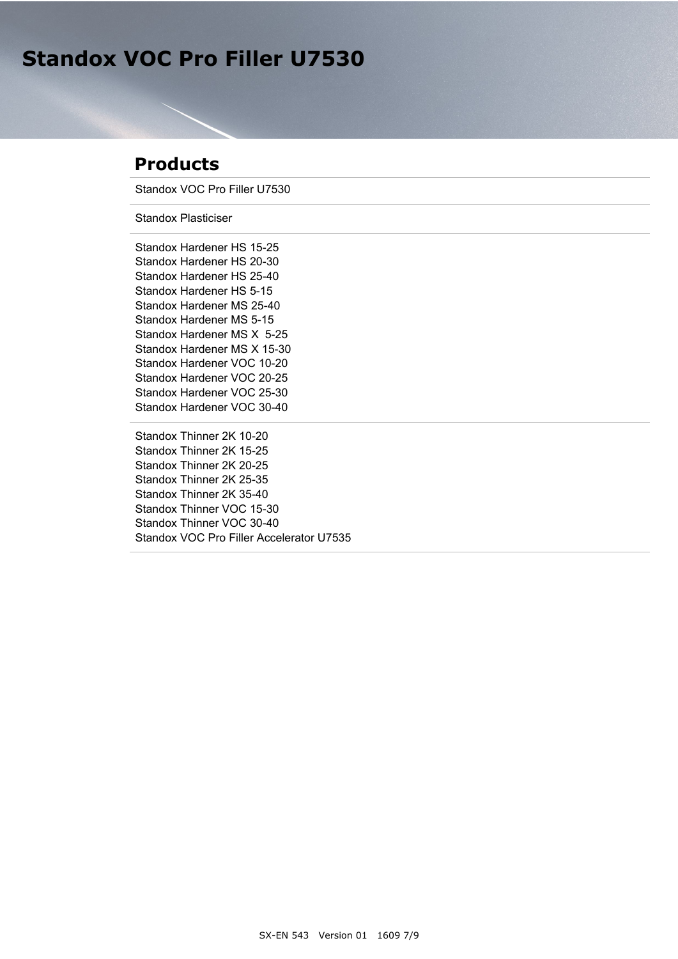## **Products**

Standox VOC Pro Filler U7530

Standox Plasticiser

Standox Hardener HS 15-25 Standox Hardener HS 20-30 Standox Hardener HS 25-40 Standox Hardener HS 5-15 Standox Hardener MS 25-40 Standox Hardener MS 5-15 Standox Hardener MS X 5-25 Standox Hardener MS X 15-30 Standox Hardener VOC 10-20 Standox Hardener VOC 20-25 Standox Hardener VOC 25-30 Standox Hardener VOC 30-40

Standox Thinner 2K 10-20 Standox Thinner 2K 15-25 Standox Thinner 2K 20-25 Standox Thinner 2K 25-35 Standox Thinner 2K 35-40 Standox Thinner VOC 15-30 Standox Thinner VOC 30-40 Standox VOC Pro Filler Accelerator U7535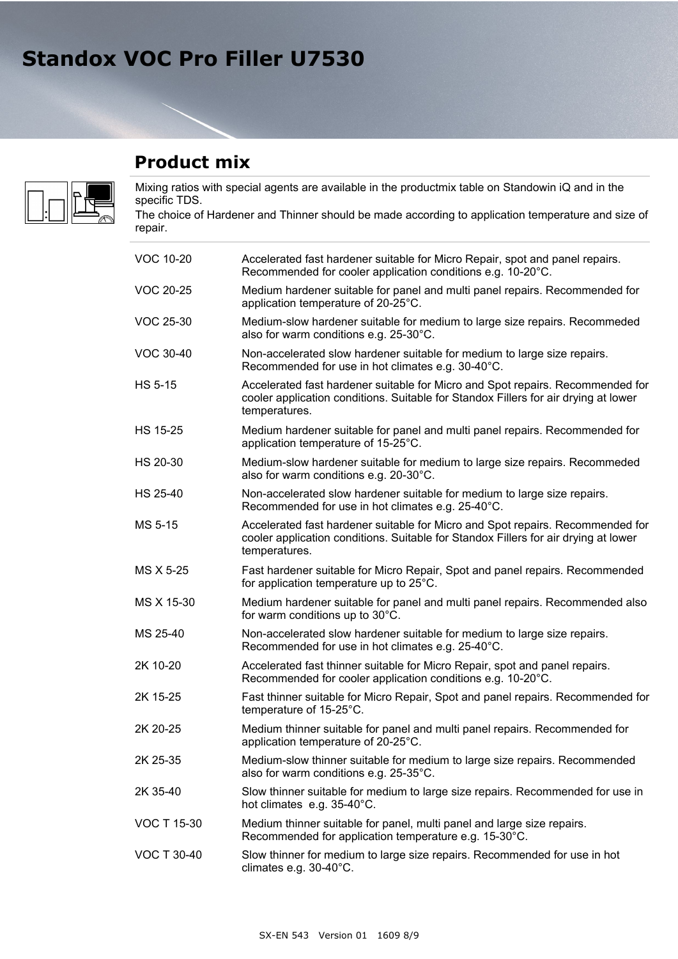**Product mix**



Mixing ratios with special agents are available in the productmix table on Standowin iQ and in the specific TDS.

The choice of Hardener and Thinner should be made according to application temperature and size of repair.

| <b>VOC 10-20</b>   | Accelerated fast hardener suitable for Micro Repair, spot and panel repairs.<br>Recommended for cooler application conditions e.g. 10-20°C.                                            |  |
|--------------------|----------------------------------------------------------------------------------------------------------------------------------------------------------------------------------------|--|
| <b>VOC 20-25</b>   | Medium hardener suitable for panel and multi panel repairs. Recommended for<br>application temperature of 20-25°C.                                                                     |  |
| <b>VOC 25-30</b>   | Medium-slow hardener suitable for medium to large size repairs. Recommeded<br>also for warm conditions e.g. 25-30°C.                                                                   |  |
| <b>VOC 30-40</b>   | Non-accelerated slow hardener suitable for medium to large size repairs.<br>Recommended for use in hot climates e.g. 30-40°C.                                                          |  |
| <b>HS 5-15</b>     | Accelerated fast hardener suitable for Micro and Spot repairs. Recommended for<br>cooler application conditions. Suitable for Standox Fillers for air drying at lower<br>temperatures. |  |
| <b>HS 15-25</b>    | Medium hardener suitable for panel and multi panel repairs. Recommended for<br>application temperature of 15-25°C.                                                                     |  |
| HS 20-30           | Medium-slow hardener suitable for medium to large size repairs. Recommeded<br>also for warm conditions e.g. 20-30°C.                                                                   |  |
| HS 25-40           | Non-accelerated slow hardener suitable for medium to large size repairs.<br>Recommended for use in hot climates e.g. 25-40°C.                                                          |  |
| MS 5-15            | Accelerated fast hardener suitable for Micro and Spot repairs. Recommended for<br>cooler application conditions. Suitable for Standox Fillers for air drying at lower<br>temperatures. |  |
| MS X 5-25          | Fast hardener suitable for Micro Repair, Spot and panel repairs. Recommended<br>for application temperature up to 25°C.                                                                |  |
| MS X 15-30         | Medium hardener suitable for panel and multi panel repairs. Recommended also<br>for warm conditions up to 30°C.                                                                        |  |
| MS 25-40           | Non-accelerated slow hardener suitable for medium to large size repairs.<br>Recommended for use in hot climates e.g. 25-40°C.                                                          |  |
| 2K 10-20           | Accelerated fast thinner suitable for Micro Repair, spot and panel repairs.<br>Recommended for cooler application conditions e.g. 10-20°C.                                             |  |
| 2K 15-25           | Fast thinner suitable for Micro Repair, Spot and panel repairs. Recommended for<br>temperature of 15-25°C.                                                                             |  |
| 2K 20-25           | Medium thinner suitable for panel and multi panel repairs. Recommended for<br>application temperature of 20-25°C.                                                                      |  |
| 2K 25-35           | Medium-slow thinner suitable for medium to large size repairs. Recommended<br>also for warm conditions e.g. 25-35°C.                                                                   |  |
| 2K 35-40           | Slow thinner suitable for medium to large size repairs. Recommended for use in<br>hot climates e.g. 35-40°C.                                                                           |  |
| <b>VOC T 15-30</b> | Medium thinner suitable for panel, multi panel and large size repairs.<br>Recommended for application temperature e.g. 15-30°C.                                                        |  |
| <b>VOC T 30-40</b> | Slow thinner for medium to large size repairs. Recommended for use in hot<br>climates e.g. 30-40°C.                                                                                    |  |